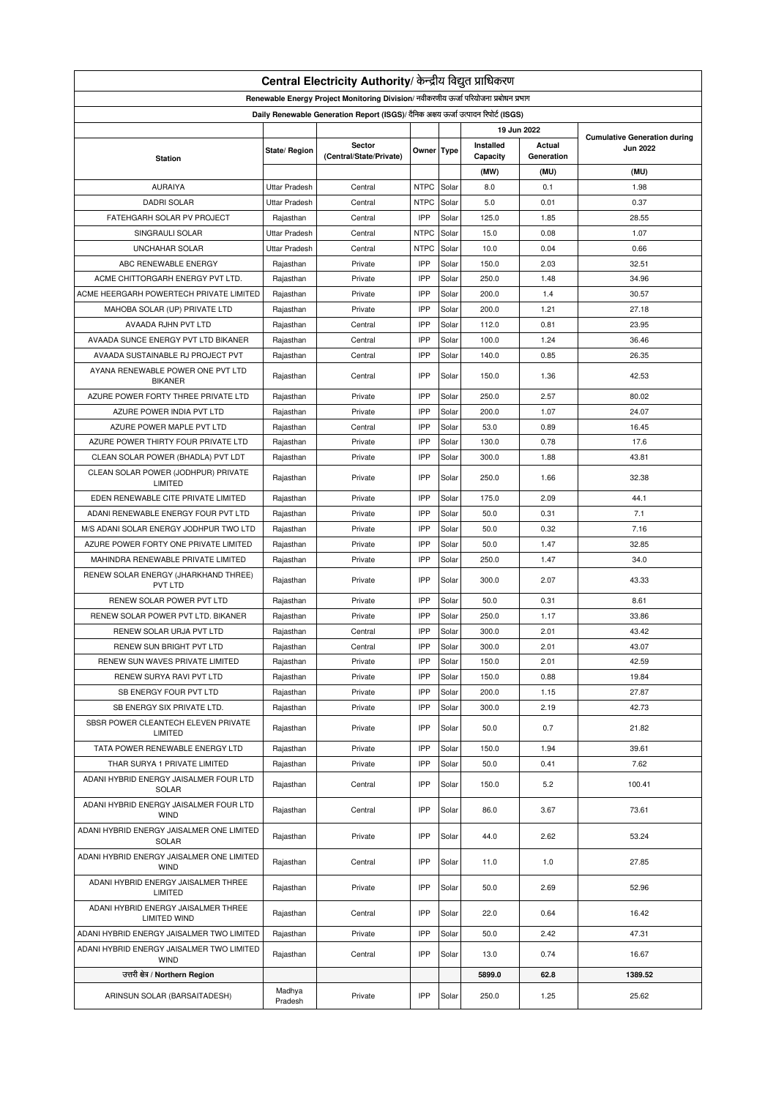| Central Electricity Authority/ केन्द्रीय विद्युत प्राधिकरण                           |                      |                                   |             |       |                       |                      |                 |  |  |
|--------------------------------------------------------------------------------------|----------------------|-----------------------------------|-------------|-------|-----------------------|----------------------|-----------------|--|--|
| Renewable Energy Project Monitoring Division/ नवीकरणीय ऊर्जा परियोजना प्रबोधन प्रभाग |                      |                                   |             |       |                       |                      |                 |  |  |
| Daily Renewable Generation Report (ISGS)/ दैनिक अक्षय ऊर्जा उत्पादन रिपोर्ट (ISGS)   |                      |                                   |             |       |                       |                      |                 |  |  |
| 19 Jun 2022<br><b>Cumulative Generation during</b>                                   |                      |                                   |             |       |                       |                      |                 |  |  |
| <b>Station</b>                                                                       | State/ Region        | Sector<br>(Central/State/Private) | Owner Type  |       | Installed<br>Capacity | Actual<br>Generation | <b>Jun 2022</b> |  |  |
|                                                                                      |                      |                                   |             |       | (MW)                  | (MU)                 | (MU)            |  |  |
| <b>AURAIYA</b>                                                                       | <b>Uttar Pradesh</b> | Central                           | <b>NTPC</b> | Solar | 8.0                   | 0.1                  | 1.98            |  |  |
| <b>DADRI SOLAR</b>                                                                   | <b>Uttar Pradesh</b> | Central                           | <b>NTPC</b> | Solar | 5.0                   | 0.01                 | 0.37            |  |  |
| FATEHGARH SOLAR PV PROJECT                                                           |                      | Central                           | IPP         | Solar | 125.0                 | 1.85                 | 28.55           |  |  |
|                                                                                      | Rajasthan            |                                   |             |       |                       |                      |                 |  |  |
| SINGRAULI SOLAR                                                                      | <b>Uttar Pradesh</b> | Central                           | <b>NTPC</b> | Solar | 15.0                  | 0.08                 | 1.07            |  |  |
| <b>UNCHAHAR SOLAR</b>                                                                | <b>Uttar Pradesh</b> | Central                           | <b>NTPC</b> | Solar | 10.0                  | 0.04                 | 0.66            |  |  |
| ABC RENEWABLE ENERGY                                                                 | Rajasthan            | Private                           | IPP         | Solar | 150.0                 | 2.03                 | 32.51           |  |  |
| ACME CHITTORGARH ENERGY PVT LTD.                                                     | Rajasthan            | Private                           | IPP         | Solar | 250.0                 | 1.48                 | 34.96           |  |  |
| ACME HEERGARH POWERTECH PRIVATE LIMITED                                              | Rajasthan            | Private                           | IPP         | Solar | 200.0                 | 1.4                  | 30.57           |  |  |
| MAHOBA SOLAR (UP) PRIVATE LTD                                                        | Rajasthan            | Private                           | IPP         | Solar | 200.0                 | 1.21                 | 27.18           |  |  |
| AVAADA RJHN PVT LTD                                                                  | Rajasthan            | Central                           | IPP         | Solar | 112.0                 | 0.81                 | 23.95           |  |  |
| AVAADA SUNCE ENERGY PVT LTD BIKANER                                                  | Rajasthan            | Central                           | IPP         | Solar | 100.0                 | 1.24                 | 36.46           |  |  |
| AVAADA SUSTAINABLE RJ PROJECT PVT                                                    | Rajasthan            | Central                           | IPP         | Solar | 140.0                 | 0.85                 | 26.35           |  |  |
| AYANA RENEWABLE POWER ONE PVT LTD<br><b>BIKANER</b>                                  | Rajasthan            | Central                           | IPP         | Solar | 150.0                 | 1.36                 | 42.53           |  |  |
| AZURE POWER FORTY THREE PRIVATE LTD                                                  | Rajasthan            | Private                           | IPP         | Solar | 250.0                 | 2.57                 | 80.02           |  |  |
| AZURE POWER INDIA PVT LTD                                                            | Rajasthan            | Private                           | IPP         | Solar | 200.0                 | 1.07                 | 24.07           |  |  |
| AZURE POWER MAPLE PVT LTD                                                            | Rajasthan            | Central                           | IPP         | Solar | 53.0                  | 0.89                 | 16.45           |  |  |
| AZURE POWER THIRTY FOUR PRIVATE LTD                                                  | Rajasthan            | Private                           | IPP         | Solar | 130.0                 | 0.78                 | 17.6            |  |  |
| CLEAN SOLAR POWER (BHADLA) PVT LDT                                                   | Rajasthan            | Private                           | IPP         | Solar | 300.0                 | 1.88                 | 43.81           |  |  |
| CLEAN SOLAR POWER (JODHPUR) PRIVATE<br>LIMITED                                       | Rajasthan            | Private                           | IPP         | Solar | 250.0                 | 1.66                 | 32.38           |  |  |
| EDEN RENEWABLE CITE PRIVATE LIMITED                                                  | Rajasthan            | Private                           | IPP         | Solar | 175.0                 | 2.09                 | 44.1            |  |  |
| ADANI RENEWABLE ENERGY FOUR PVT LTD                                                  | Rajasthan            | Private                           | IPP         | Solar | 50.0                  | 0.31                 | 7.1             |  |  |
| M/S ADANI SOLAR ENERGY JODHPUR TWO LTD                                               | Rajasthan            | Private                           | IPP         | Solar | 50.0                  | 0.32                 | 7.16            |  |  |
| AZURE POWER FORTY ONE PRIVATE LIMITED                                                | Rajasthan            | Private                           | IPP         | Solar | 50.0                  | 1.47                 | 32.85           |  |  |
| MAHINDRA RENEWABLE PRIVATE LIMITED                                                   | Rajasthan            | Private                           | IPP         | Solar | 250.0                 | 1.47                 | 34.0            |  |  |
| RENEW SOLAR ENERGY (JHARKHAND THREE)                                                 |                      |                                   |             |       |                       |                      |                 |  |  |
| PVT LTD                                                                              | Rajasthan            | Private                           | IPP         | Solar | 300.0                 | 2.07                 | 43.33           |  |  |
| RENEW SOLAR POWER PVT LTD                                                            | Rajasthan            | Private                           | IPP         | Solar | 50.0                  | 0.31                 | 8.61            |  |  |
| RENEW SOLAR POWER PVT LTD. BIKANER                                                   | Rajasthan            | Private                           | IPP         | Solar | 250.0                 | 1.17                 | 33.86           |  |  |
| RENEW SOLAR URJA PVT LTD                                                             | Rajasthan            | Central                           | IPP         | Solar | 300.0                 | 2.01                 | 43.42           |  |  |
| RENEW SUN BRIGHT PVT LTD                                                             | Rajasthan            | Central                           | IPP         | Solar | 300.0                 | 2.01                 | 43.07           |  |  |
| RENEW SUN WAVES PRIVATE LIMITED                                                      | Rajasthan            | Private                           | IPP         | Solar | 150.0                 | 2.01                 | 42.59           |  |  |
| RENEW SURYA RAVI PVT LTD                                                             | Rajasthan            | Private                           | IPP         | Solar | 150.0                 | 0.88                 | 19.84           |  |  |
| SB ENERGY FOUR PVT LTD                                                               | Rajasthan            | Private                           | IPP         | Solar | 200.0                 | 1.15                 | 27.87           |  |  |
| SB ENERGY SIX PRIVATE LTD.                                                           | Rajasthan            | Private                           | IPP         | Solar | 300.0                 | 2.19                 | 42.73           |  |  |
| SBSR POWER CLEANTECH ELEVEN PRIVATE<br>LIMITED                                       | Rajasthan            | Private                           | IPP         | Solar | 50.0                  | 0.7                  | 21.82           |  |  |
| TATA POWER RENEWABLE ENERGY LTD                                                      | Rajasthan            | Private                           | IPP         | Solar | 150.0                 | 1.94                 | 39.61           |  |  |
| THAR SURYA 1 PRIVATE LIMITED                                                         | Rajasthan            | Private                           | IPP         | Solar | 50.0                  | 0.41                 | 7.62            |  |  |
| ADANI HYBRID ENERGY JAISALMER FOUR LTD<br>SOLAR                                      | Rajasthan            | Central                           | IPP         | Solar | 150.0                 | 5.2                  | 100.41          |  |  |
| ADANI HYBRID ENERGY JAISALMER FOUR LTD<br><b>WIND</b>                                | Rajasthan            | Central                           | IPP         | Solar | 86.0                  | 3.67                 | 73.61           |  |  |
| ADANI HYBRID ENERGY JAISALMER ONE LIMITED<br>SOLAR                                   | Rajasthan            | Private                           | IPP         | Solar | 44.0                  | 2.62                 | 53.24           |  |  |
| ADANI HYBRID ENERGY JAISALMER ONE LIMITED                                            | Rajasthan            | Central                           | IPP         | Solar | 11.0                  | 1.0                  | 27.85           |  |  |
| <b>WIND</b><br>ADANI HYBRID ENERGY JAISALMER THREE                                   | Rajasthan            | Private                           | IPP         | Solar | 50.0                  | 2.69                 | 52.96           |  |  |
| LIMITED<br>ADANI HYBRID ENERGY JAISALMER THREE                                       | Rajasthan            | Central                           | IPP         | Solar | 22.0                  | 0.64                 | 16.42           |  |  |
| <b>LIMITED WIND</b><br>ADANI HYBRID ENERGY JAISALMER TWO LIMITED                     | Rajasthan            | Private                           | IPP         | Solar | 50.0                  | 2.42                 | 47.31           |  |  |
| ADANI HYBRID ENERGY JAISALMER TWO LIMITED                                            | Rajasthan            | Central                           | IPP         | Solar | 13.0                  | 0.74                 | 16.67           |  |  |
| <b>WIND</b>                                                                          |                      |                                   |             |       |                       |                      |                 |  |  |
| उत्तरी क्षेत्र / Northern Region                                                     |                      |                                   |             |       | 5899.0                | 62.8                 | 1389.52         |  |  |
| ARINSUN SOLAR (BARSAITADESH)                                                         | Madhya<br>Pradesh    | Private                           | IPP         | Solar | 250.0                 | 1.25                 | 25.62           |  |  |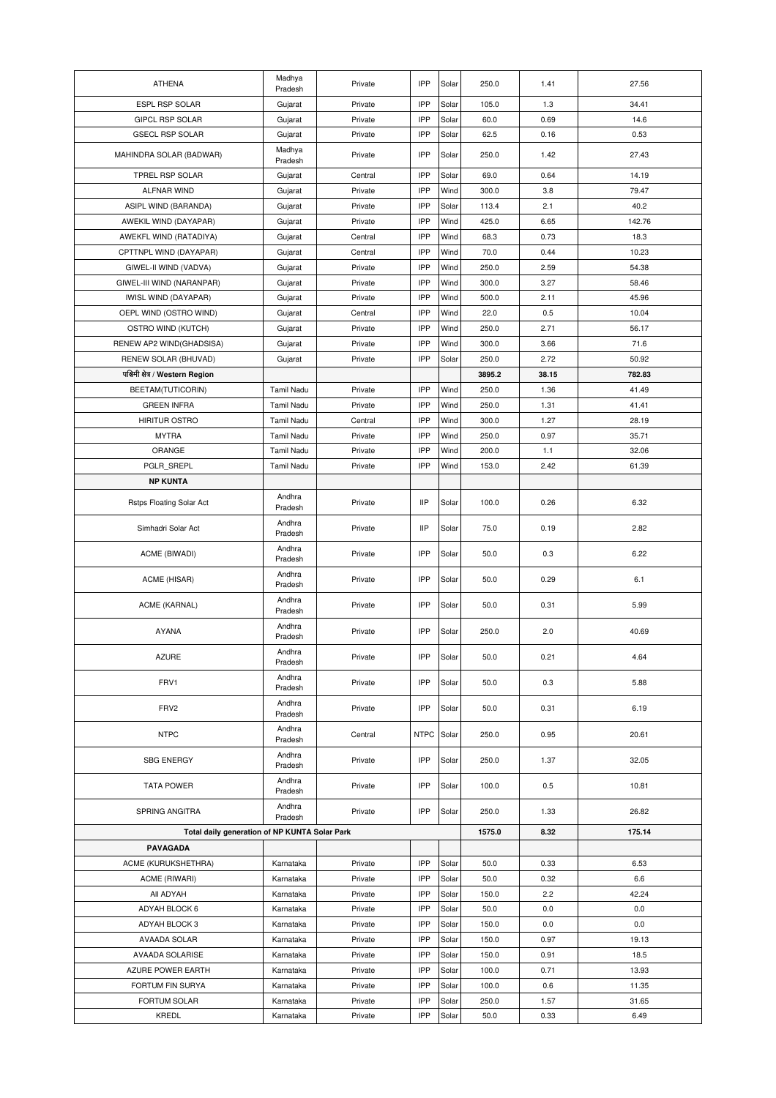| <b>ATHENA</b>                                 | Madhya<br>Pradesh | Private | IPP         | Solar | 250.0           | 1.41  | 27.56  |
|-----------------------------------------------|-------------------|---------|-------------|-------|-----------------|-------|--------|
| <b>ESPL RSP SOLAR</b>                         | Gujarat           | Private | IPP         | Solar | 105.0           | 1.3   | 34.41  |
| GIPCL RSP SOLAR                               | Gujarat           | Private | IPP         | Solar | 60.0            | 0.69  | 14.6   |
| <b>GSECL RSP SOLAR</b>                        | Gujarat           | Private | IPP         | Solar | 62.5            | 0.16  | 0.53   |
| MAHINDRA SOLAR (BADWAR)                       | Madhya<br>Pradesh | Private | IPP         | Solar | 250.0           | 1.42  | 27.43  |
| TPREL RSP SOLAR                               | Gujarat           | Central | IPP         | Solar | 69.0            | 0.64  | 14.19  |
| ALFNAR WIND                                   | Gujarat           | Private | IPP         | Wind  | 300.0           | 3.8   | 79.47  |
| ASIPL WIND (BARANDA)                          | Gujarat           | Private | IPP         | Solar | 113.4           | 2.1   | 40.2   |
| AWEKIL WIND (DAYAPAR)                         | Gujarat           | Private | IPP         | Wind  | 425.0           | 6.65  | 142.76 |
| AWEKFL WIND (RATADIYA)                        | Gujarat           | Central | IPP         | Wind  | 68.3            | 0.73  | 18.3   |
| CPTTNPL WIND (DAYAPAR)                        | Gujarat           | Central | IPP         | Wind  | 70.0            | 0.44  | 10.23  |
| GIWEL-II WIND (VADVA)                         | Gujarat           | Private | IPP         | Wind  | 250.0           | 2.59  | 54.38  |
| GIWEL-III WIND (NARANPAR)                     | Gujarat           | Private | IPP         | Wind  | 300.0           | 3.27  | 58.46  |
| IWISL WIND (DAYAPAR)                          | Gujarat           | Private | IPP         | Wind  | 500.0           | 2.11  | 45.96  |
| OEPL WIND (OSTRO WIND)                        | Gujarat           | Central | IPP         | Wind  | 22.0            | 0.5   | 10.04  |
| OSTRO WIND (KUTCH)                            | Gujarat           | Private | IPP         | Wind  | 250.0           | 2.71  | 56.17  |
| RENEW AP2 WIND(GHADSISA)                      | Gujarat           | Private | IPP         | Wind  | 300.0           | 3.66  | 71.6   |
| RENEW SOLAR (BHUVAD)                          | Gujarat           | Private | IPP         | Solar | 250.0           | 2.72  | 50.92  |
| पश्चिमी क्षेत्र / Western Region              |                   |         |             |       | 3895.2          | 38.15 | 782.83 |
| BEETAM(TUTICORIN)                             | <b>Tamil Nadu</b> | Private | IPP         | Wind  | 250.0           | 1.36  | 41.49  |
| <b>GREEN INFRA</b>                            | <b>Tamil Nadu</b> | Private | IPP         | Wind  | 250.0           | 1.31  | 41.41  |
| <b>HIRITUR OSTRO</b>                          | <b>Tamil Nadu</b> | Central | IPP         | Wind  | 300.0           | 1.27  | 28.19  |
| <b>MYTRA</b>                                  | Tamil Nadu        | Private | IPP         | Wind  | 250.0           | 0.97  | 35.71  |
| ORANGE                                        | Tamil Nadu        | Private | IPP         | Wind  | 200.0           | 1.1   | 32.06  |
| PGLR_SREPL                                    | <b>Tamil Nadu</b> | Private | IPP         | Wind  | 153.0           | 2.42  | 61.39  |
| <b>NP KUNTA</b>                               |                   |         |             |       |                 |       |        |
| Rstps Floating Solar Act                      | Andhra<br>Pradesh | Private | <b>IIP</b>  | Solar | 100.0           | 0.26  | 6.32   |
| Simhadri Solar Act                            | Andhra<br>Pradesh | Private | <b>IIP</b>  | Solar | 75.0            | 0.19  | 2.82   |
| ACME (BIWADI)                                 | Andhra<br>Pradesh | Private | IPP         | Solar | 50.0            | 0.3   | 6.22   |
| ACME (HISAR)                                  | Andhra<br>Pradesh | Private | IPP         | Solar | 50.0            | 0.29  | 6.1    |
| ACME (KARNAL)                                 | Andhra<br>Pradesh | Private | IPP         | Solar | 50.0            | 0.31  | 5.99   |
| <b>AYANA</b>                                  | Andhra<br>Pradesh | Private | IPP         | Solar | 250.0           | 2.0   | 40.69  |
| <b>AZURE</b>                                  | Andhra<br>Pradesh | Private | IPP         | Solar | 50.0            | 0.21  | 4.64   |
| FRV1                                          | Andhra<br>Pradesh | Private | IPP         | Solar | 50.0            | 0.3   | 5.88   |
| FRV2                                          | Andhra<br>Pradesh | Private | IPP         | Solar | 50.0            | 0.31  | 6.19   |
| <b>NTPC</b>                                   | Andhra<br>Pradesh | Central | <b>NTPC</b> | Solar | 250.0           | 0.95  | 20.61  |
| <b>SBG ENERGY</b>                             | Andhra<br>Pradesh | Private | IPP         | Solar | 250.0           | 1.37  | 32.05  |
| <b>TATA POWER</b>                             | Andhra<br>Pradesh | Private | IPP         | Solar | 100.0           | 0.5   | 10.81  |
| SPRING ANGITRA                                | Andhra<br>Pradesh | Private | IPP         | Solar | 250.0<br>1575.0 | 1.33  | 26.82  |
| Total daily generation of NP KUNTA Solar Park |                   |         |             |       |                 | 8.32  | 175.14 |
| PAVAGADA                                      |                   |         |             |       |                 |       |        |
| ACME (KURUKSHETHRA)                           | Karnataka         | Private | IPP         | Solar | 50.0            | 0.33  | 6.53   |
| ACME (RIWARI)                                 | Karnataka         | Private | IPP         | Solar | 50.0            | 0.32  | 6.6    |
| All ADYAH                                     | Karnataka         | Private | IPP         | Solar | 150.0           | 2.2   | 42.24  |
| ADYAH BLOCK 6                                 | Karnataka         | Private | IPP         | Solar | 50.0            | 0.0   | 0.0    |
| ADYAH BLOCK 3                                 | Karnataka         | Private | IPP         | Solar | 150.0           | 0.0   | 0.0    |
| AVAADA SOLAR                                  | Karnataka         | Private | IPP         | Solar | 150.0           | 0.97  | 19.13  |
| <b>AVAADA SOLARISE</b>                        | Karnataka         | Private | IPP         | Solar | 150.0           | 0.91  | 18.5   |
| AZURE POWER EARTH                             | Karnataka         | Private | IPP         | Solar | 100.0           | 0.71  | 13.93  |
| FORTUM FIN SURYA                              | Karnataka         | Private | IPP         | Solar | 100.0           | 0.6   | 11.35  |
| FORTUM SOLAR                                  | Karnataka         | Private | IPP         | Solar | 250.0           | 1.57  | 31.65  |
| KREDL                                         | Karnataka         | Private | IPP         | Solar | 50.0            | 0.33  | 6.49   |